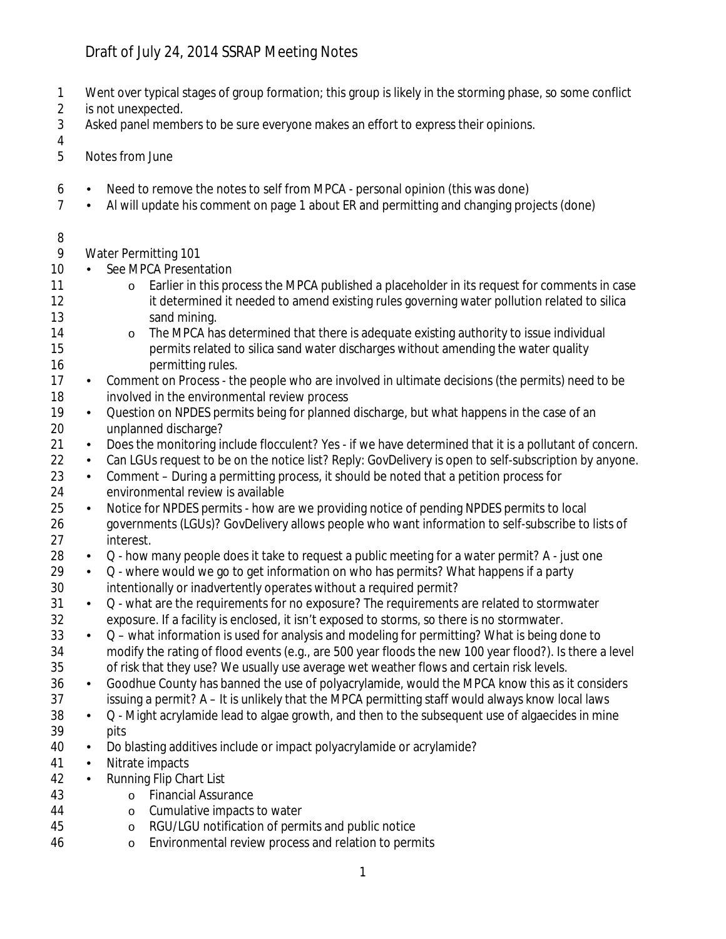## Draft of July 24, 2014 SSRAP Meeting Notes

- 1 Went over typical stages of group formation; this group is likely in the storming phase, so some conflict
- 2 is not unexpected.
- 3 Asked panel members to be sure everyone makes an effort to express their opinions.
- 
- 4<br>5 Notes from June
- 6 Need to remove the notes to self from MPCA personal opinion (this was done)
- 7 Al will update his comment on page 1 about ER and permitting and changing projects (done)
- 8

9 Water Permitting 101

- 10 · See MPCA Presentation
- 11 o Earlier in this process the MPCA published a placeholder in its request for comments in case<br>12 it determined it needed to amend existing rules governing water pollution related to silica it determined it needed to amend existing rules governing water pollution related to silica 13 sand mining.
- 14 o The MPCA has determined that there is adequate existing authority to issue individual<br>15 oermits related to silica sand water discharges without amending the water quality permits related to silica sand water discharges without amending the water quality 16 **permitting rules**.
- 17 Comment on Process the people who are involved in ultimate decisions (the permits) need to be 18 involved in the environmental review process<br>19 . Ouestion on NPDES permits being for planned
- Question on NPDES permits being for planned discharge, but what happens in the case of an 20 unplanned discharge?
- 21 Does the monitoring include flocculent? Yes if we have determined that it is a pollutant of concern.
- 22 Can LGUs request to be on the notice list? Reply: GovDelivery is open to self-subscription by anyone.
- 23 Comment During a permitting process, it should be noted that a petition process for 24 environmental review is available
- 25 Notice for NPDES permits how are we providing notice of pending NPDES permits to local 26 governments (LGUs)? GovDelivery allows people who want information to self-subscribe to lists of 27 interest.
- 28  $\ldots$  Q how many people does it take to request a public meeting for a water permit? A just one
- 29  $\cdot$  Q where would we go to get information on who has permits? What happens if a party 30 intentionally or inadvertently operates without a required permit?
- 31 . Q what are the requirements for no exposure? The requirements are related to stormwater 32 exposure. If a facility is enclosed, it isn't exposed to storms, so there is no stormwater.
- $33 \cdot Q$  what information is used for analysis and modeling for permitting? What is being done to 34 modify the rating of flood events (e.g., are 500 year floods the new 100 year flood?). Is there a level 35 of risk that they use? We usually use average wet weather flows and certain risk levels.
- 36 Goodhue County has banned the use of polyacrylamide, would the MPCA know this as it considers 37 issuing a permit? A – It is unlikely that the MPCA permitting staff would always know local laws
- $38 \cdot Q$  Might acrylamide lead to algae growth, and then to the subsequent use of algaecides in mine 39 pits
- 40 Do blasting additives include or impact polyacrylamide or acrylamide?
- 41 · Nitrate impacts
- 42 · Running Flip Chart List
- 43 o Financial Assurance
- 44 o Cumulative impacts to water
- 45 o RGU/LGU notification of permits and public notice
- 46 o Environmental review process and relation to permits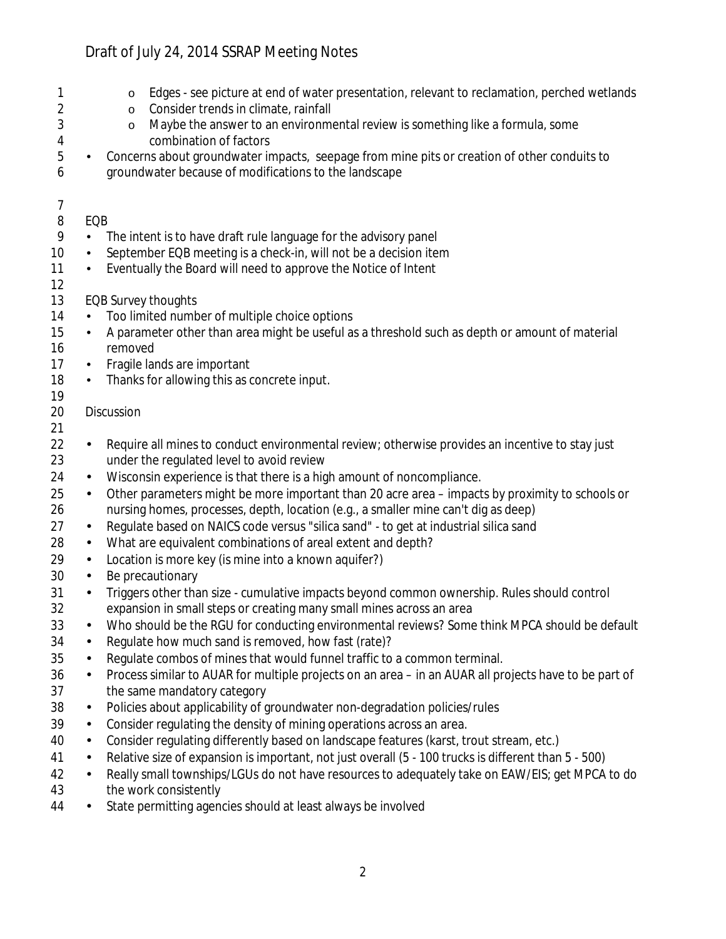## Draft of July 24, 2014 SSRAP Meeting Notes

| 1<br>2<br>3<br>4<br>5<br>6 | $\blacksquare$ | Edges - see picture at end of water presentation, relevant to reclamation, perched wetlands<br>$\circ$<br>Consider trends in climate, rainfall<br>$\circ$<br>Maybe the answer to an environmental review is something like a formula, some<br>$\circ$<br>combination of factors<br>Concerns about groundwater impacts, seepage from mine pits or creation of other conduits to<br>groundwater because of modifications to the landscape |
|----------------------------|----------------|-----------------------------------------------------------------------------------------------------------------------------------------------------------------------------------------------------------------------------------------------------------------------------------------------------------------------------------------------------------------------------------------------------------------------------------------|
| 7                          |                |                                                                                                                                                                                                                                                                                                                                                                                                                                         |
| 8                          | EQB            |                                                                                                                                                                                                                                                                                                                                                                                                                                         |
| 9                          |                | The intent is to have draft rule language for the advisory panel                                                                                                                                                                                                                                                                                                                                                                        |
| 10                         | $\blacksquare$ | September EQB meeting is a check-in, will not be a decision item                                                                                                                                                                                                                                                                                                                                                                        |
| 11                         |                | Eventually the Board will need to approve the Notice of Intent                                                                                                                                                                                                                                                                                                                                                                          |
| 12                         |                |                                                                                                                                                                                                                                                                                                                                                                                                                                         |
| 13                         |                | <b>EQB Survey thoughts</b><br>Too limited number of multiple choice options                                                                                                                                                                                                                                                                                                                                                             |
| 14<br>15                   |                | A parameter other than area might be useful as a threshold such as depth or amount of material                                                                                                                                                                                                                                                                                                                                          |
| 16                         |                | removed                                                                                                                                                                                                                                                                                                                                                                                                                                 |
| 17                         | ٠              | Fragile lands are important                                                                                                                                                                                                                                                                                                                                                                                                             |
| 18                         | ٠              | Thanks for allowing this as concrete input.                                                                                                                                                                                                                                                                                                                                                                                             |
| 19                         |                |                                                                                                                                                                                                                                                                                                                                                                                                                                         |
| 20                         |                | Discussion                                                                                                                                                                                                                                                                                                                                                                                                                              |
| 21                         |                |                                                                                                                                                                                                                                                                                                                                                                                                                                         |
| 22                         |                | Require all mines to conduct environmental review; otherwise provides an incentive to stay just                                                                                                                                                                                                                                                                                                                                         |
| 23                         |                | under the regulated level to avoid review                                                                                                                                                                                                                                                                                                                                                                                               |
| 24                         | $\blacksquare$ | Wisconsin experience is that there is a high amount of noncompliance.                                                                                                                                                                                                                                                                                                                                                                   |
| 25                         | ٠              | Other parameters might be more important than 20 acre area - impacts by proximity to schools or                                                                                                                                                                                                                                                                                                                                         |
| 26                         |                | nursing homes, processes, depth, location (e.g., a smaller mine can't dig as deep)                                                                                                                                                                                                                                                                                                                                                      |
| 27                         | $\blacksquare$ | Regulate based on NAICS code versus "silica sand" - to get at industrial silica sand                                                                                                                                                                                                                                                                                                                                                    |
| 28                         | ٠              | What are equivalent combinations of areal extent and depth?                                                                                                                                                                                                                                                                                                                                                                             |
| 29                         | $\blacksquare$ | Location is more key (is mine into a known aquifer?)                                                                                                                                                                                                                                                                                                                                                                                    |
| 30                         | $\blacksquare$ | Be precautionary                                                                                                                                                                                                                                                                                                                                                                                                                        |
| 31                         |                | Triggers other than size - cumulative impacts beyond common ownership. Rules should control                                                                                                                                                                                                                                                                                                                                             |
| 32                         |                | expansion in small steps or creating many small mines across an area<br>Who should be the RGU for conducting environmental reviews? Some think MPCA should be default                                                                                                                                                                                                                                                                   |
| 33                         |                | Regulate how much sand is removed, how fast (rate)?                                                                                                                                                                                                                                                                                                                                                                                     |
| 34<br>35                   | $\blacksquare$ | Regulate combos of mines that would funnel traffic to a common terminal.                                                                                                                                                                                                                                                                                                                                                                |
| 36                         | $\blacksquare$ | Process similar to AUAR for multiple projects on an area - in an AUAR all projects have to be part of                                                                                                                                                                                                                                                                                                                                   |
| 37                         |                | the same mandatory category                                                                                                                                                                                                                                                                                                                                                                                                             |
| 38                         | $\blacksquare$ | Policies about applicability of groundwater non-degradation policies/rules                                                                                                                                                                                                                                                                                                                                                              |
| 39                         | $\blacksquare$ | Consider regulating the density of mining operations across an area.                                                                                                                                                                                                                                                                                                                                                                    |
| 40                         | $\blacksquare$ | Consider regulating differently based on landscape features (karst, trout stream, etc.)                                                                                                                                                                                                                                                                                                                                                 |
| 41                         | $\blacksquare$ | Relative size of expansion is important, not just overall (5 - 100 trucks is different than 5 - 500)                                                                                                                                                                                                                                                                                                                                    |
| 42<br>43                   | $\blacksquare$ | Really small townships/LGUs do not have resources to adequately take on EAW/EIS; get MPCA to do<br>the work consistently                                                                                                                                                                                                                                                                                                                |

44 • State permitting agencies should at least always be involved